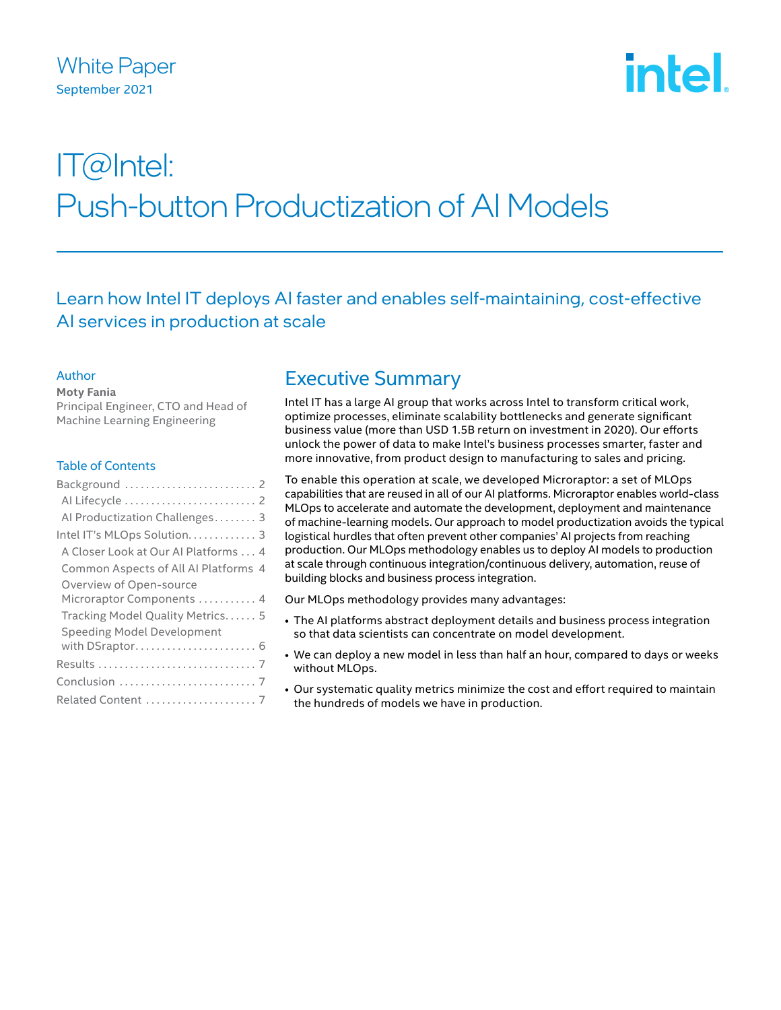## White Paper September 2021

# **intel**

## IT@Intel: Push-button Productization of AI Models

Learn how Intel IT deploys AI faster and enables self-maintaining, cost-effective AI services in production at scale

#### Author

**Moty Fania**

Principal Engineer, CTO and Head of Machine Learning Engineering

#### Table of Contents

| Background  2                        |
|--------------------------------------|
|                                      |
| Al Productization Challenges 3       |
| Intel IT's MLOps Solution. 3         |
| A Closer Look at Our Al Platforms 4  |
| Common Aspects of All AI Platforms 4 |
| Overview of Open-source              |
| Microraptor Components  4            |
| Tracking Model Quality Metrics 5     |
| <b>Speeding Model Development</b>    |
| with DSraptor 6                      |
|                                      |
|                                      |
| Related Content  7                   |
|                                      |

## Executive Summary

Intel IT has a large AI group that works across Intel to transform critical work, optimize processes, eliminate scalability bottlenecks and generate significant business value (more than USD 1.5B return on investment in 2020). Our efforts unlock the power of data to make Intel's business processes smarter, faster and more innovative, from product design to manufacturing to sales and pricing.

To enable this operation at scale, we developed Microraptor: a set of MLOps capabilities that are reused in all of our AI platforms. Microraptor enables world-class MLOps to accelerate and automate the development, deployment and maintenance of machine-learning models. Our approach to model productization avoids the typical logistical hurdles that often prevent other companies' AI projects from reaching production. Our MLOps methodology enables us to deploy AI models to production at scale through continuous integration/continuous delivery, automation, reuse of building blocks and business process integration.

Our MLOps methodology provides many advantages:

- The AI platforms abstract deployment details and business process integration so that data scientists can concentrate on model development.
- We can deploy a new model in less than half an hour, compared to days or weeks without MLOps.
- Our systematic quality metrics minimize the cost and effort required to maintain the hundreds of models we have in production.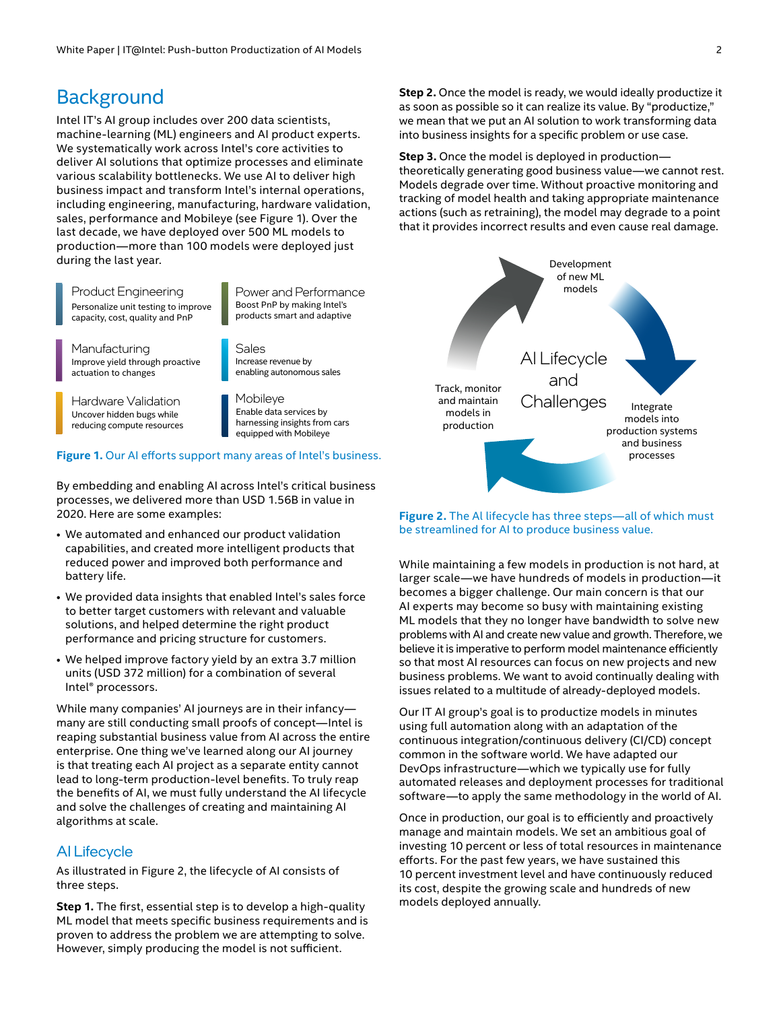## <span id="page-1-0"></span>**Background**

Intel IT's AI group includes over 200 data scientists, machine-learning (ML) engineers and AI product experts. We systematically work across Intel's core activities to deliver AI solutions that optimize processes and eliminate various scalability bottlenecks. We use AI to deliver high business impact and transform Intel's internal operations, including engineering, manufacturing, hardware validation, sales, performance and Mobileye (see Figure 1). Over the last decade, we have deployed over 500 ML models to production—more than 100 models were deployed just during the last year.

Product Engineering Personalize unit testing to improve capacity, cost, quality and PnP

Power and Performance Boost PnP by making Intel's products smart and adaptive

Manufacturing Improve yield through proactive actuation to changes

Increase revenue by enabling autonomous sales Sales

Uncover hidden bugs while reducing compute resources Hardware Validation

Mobileye Enable data services by harnessing insights from cars equipped with Mobileye

#### **Figure 1.** Our AI efforts support many areas of Intel's business.

By embedding and enabling AI across Intel's critical business processes, we delivered more than USD 1.56B in value in 2020. Here are some examples:

- We automated and enhanced our product validation capabilities, and created more intelligent products that reduced power and improved both performance and battery life.
- We provided data insights that enabled Intel's sales force to better target customers with relevant and valuable solutions, and helped determine the right product performance and pricing structure for customers.
- We helped improve factory yield by an extra 3.7 million units (USD 372 million) for a combination of several Intel® processors.

While many companies' AI journeys are in their infancy many are still conducting small proofs of concept—Intel is reaping substantial business value from AI across the entire enterprise. One thing we've learned along our AI journey is that treating each AI project as a separate entity cannot lead to long-term production-level benefits. To truly reap the benefits of AI, we must fully understand the AI lifecycle and solve the challenges of creating and maintaining AI algorithms at scale.

#### AI Lifecycle

As illustrated in Figure 2, the lifecycle of AI consists of three steps.

**Step 1.** The first, essential step is to develop a high-quality ML model that meets specific business requirements and is proven to address the problem we are attempting to solve. However, simply producing the model is not sufficient.

**Step 2.** Once the model is ready, we would ideally productize it as soon as possible so it can realize its value. By "productize," we mean that we put an AI solution to work transforming data into business insights for a specific problem or use case.

**Step 3.** Once the model is deployed in production theoretically generating good business value—we cannot rest. Models degrade over time. Without proactive monitoring and tracking of model health and taking appropriate maintenance actions (such as retraining), the model may degrade to a point that it provides incorrect results and even cause real damage.



**Figure 2.** The Al lifecycle has three steps—all of which must be streamlined for AI to produce business value.

While maintaining a few models in production is not hard, at larger scale—we have hundreds of models in production—it becomes a bigger challenge. Our main concern is that our AI experts may become so busy with maintaining existing ML models that they no longer have bandwidth to solve new problems with AI and create new value and growth. Therefore, we believe it is imperative to perform model maintenance efficiently so that most AI resources can focus on new projects and new business problems. We want to avoid continually dealing with issues related to a multitude of already-deployed models.

Our IT AI group's goal is to productize models in minutes using full automation along with an adaptation of the continuous integration/continuous delivery (CI/CD) concept common in the software world. We have adapted our DevOps infrastructure—which we typically use for fully automated releases and deployment processes for traditional software—to apply the same methodology in the world of AI.

Once in production, our goal is to efficiently and proactively manage and maintain models. We set an ambitious goal of investing 10 percent or less of total resources in maintenance efforts. For the past few years, we have sustained this 10 percent investment level and have continuously reduced its cost, despite the growing scale and hundreds of new models deployed annually.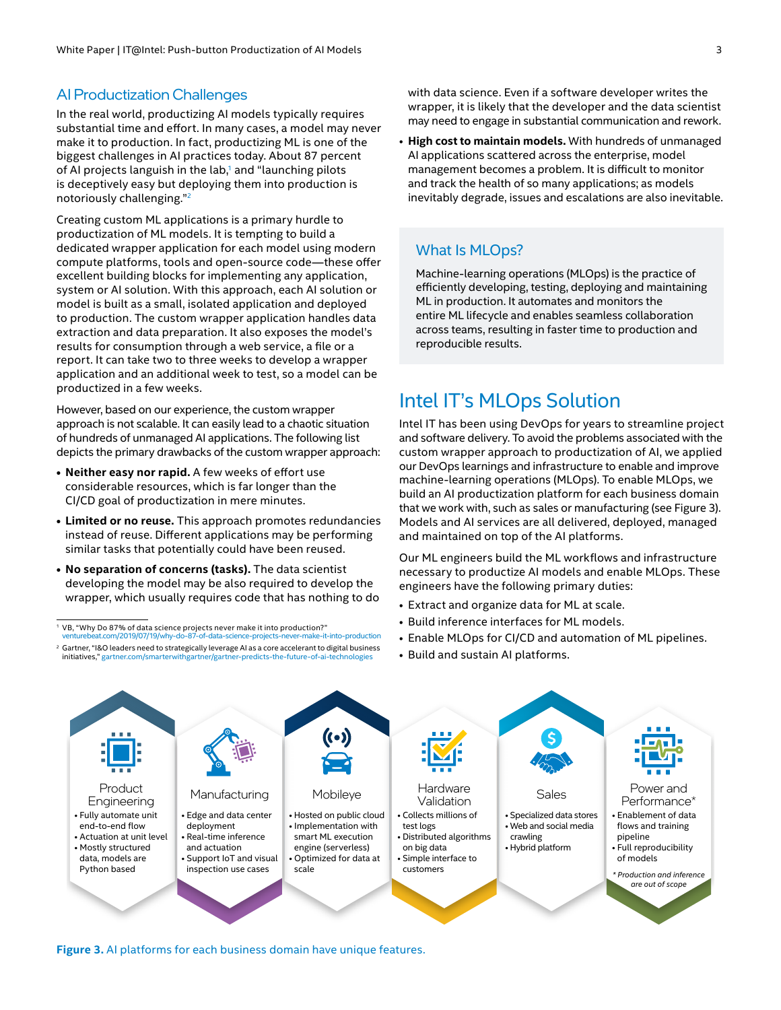#### <span id="page-2-0"></span>AI Productization Challenges

In the real world, productizing AI models typically requires substantial time and effort. In many cases, a model may never make it to production. In fact, productizing ML is one of the biggest challenges in AI practices today. About 87 percent of AI projects languish in the lab,<sup>1</sup> and "launching pilots is deceptively easy but deploying them into production is notoriously challenging."2

Creating custom ML applications is a primary hurdle to productization of ML models. It is tempting to build a dedicated wrapper application for each model using modern compute platforms, tools and open-source code—these offer excellent building blocks for implementing any application, system or AI solution. With this approach, each AI solution or model is built as a small, isolated application and deployed to production. The custom wrapper application handles data extraction and data preparation. It also exposes the model's results for consumption through a web service, a file or a report. It can take two to three weeks to develop a wrapper application and an additional week to test, so a model can be productized in a few weeks.

However, based on our experience, the custom wrapper approach is not scalable. It can easily lead to a chaotic situation of hundreds of unmanaged AI applications. The following list depicts the primary drawbacks of the custom wrapper approach:

- **• Neither easy nor rapid.** A few weeks of effort use considerable resources, which is far longer than the CI/CD goal of productization in mere minutes.
- **• Limited or no reuse.** This approach promotes redundancies instead of reuse. Different applications may be performing similar tasks that potentially could have been reused.
- **• No separation of concerns (tasks).** The data scientist developing the model may be also required to develop the wrapper, which usually requires code that has nothing to do

<sup>1</sup> VB, "Why Do 87% of data science projects never make it into production?" [venturebeat.com/2019/07/19/why-do-87-of-data-science-projects-never-make-it-into-production](https://venturebeat.com/2019/07/19/why-do-87-of-data-science-projects-never-make-it-into-production/)

<sup>2</sup> Gartner, "I&O leaders need to strategically leverage AI as a core accelerant to digital business<br>initiatives." gartner.com/smarterwithgartner/gartner-predicts-the-future-of-ai-technologies initiatives," gartner.com/smarterwithgartner/gartner-pred

with data science. Even if a software developer writes the wrapper, it is likely that the developer and the data scientist may need to engage in substantial communication and rework.

• **High cost to maintain models.** With hundreds of unmanaged AI applications scattered across the enterprise, model management becomes a problem. It is difficult to monitor and track the health of so many applications; as models inevitably degrade, issues and escalations are also inevitable.

#### What Is MLOps?

Machine-learning operations (MLOps) is the practice of efficiently developing, testing, deploying and maintaining ML in production. It automates and monitors the entire ML lifecycle and enables seamless collaboration across teams, resulting in faster time to production and reproducible results.

## Intel IT's MLOps Solution

Intel IT has been using DevOps for years to streamline project and software delivery. To avoid the problems associated with the custom wrapper approach to productization of AI, we applied our DevOps learnings and infrastructure to enable and improve machine-learning operations (MLOps). To enable MLOps, we build an AI productization platform for each business domain that we work with, such as sales or manufacturing (see Figure 3). Models and AI services are all delivered, deployed, managed and maintained on top of the AI platforms.

Our ML engineers build the ML workflows and infrastructure necessary to productize AI models and enable MLOps. These engineers have the following primary duties:

- Extract and organize data for ML at scale.
- Build inference interfaces for ML models.
- Enable MLOps for CI/CD and automation of ML pipelines.
- Build and sustain AI platforms.



**Figure 3.** AI platforms for each business domain have unique features.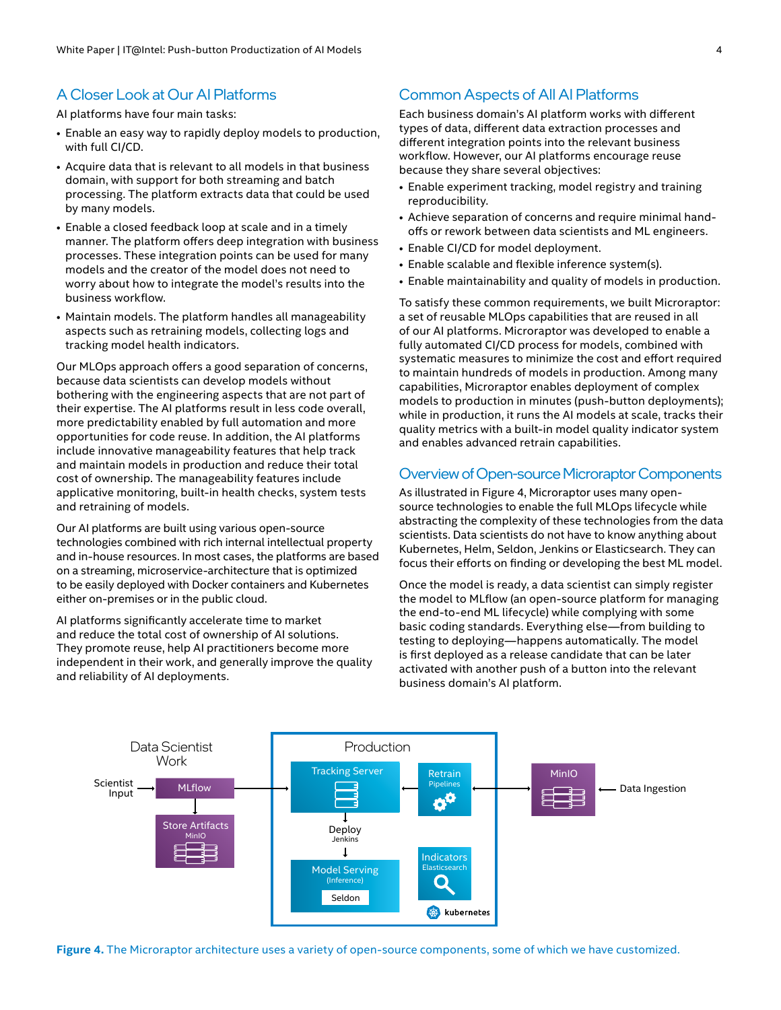#### <span id="page-3-0"></span>A Closer Look at Our AI Platforms

AI platforms have four main tasks:

- Enable an easy way to rapidly deploy models to production, with full CI/CD.
- Acquire data that is relevant to all models in that business domain, with support for both streaming and batch processing. The platform extracts data that could be used by many models.
- Enable a closed feedback loop at scale and in a timely manner. The platform offers deep integration with business processes. These integration points can be used for many models and the creator of the model does not need to worry about how to integrate the model's results into the business workflow.
- Maintain models. The platform handles all manageability aspects such as retraining models, collecting logs and tracking model health indicators.

Our MLOps approach offers a good separation of concerns, because data scientists can develop models without bothering with the engineering aspects that are not part of their expertise. The AI platforms result in less code overall, more predictability enabled by full automation and more opportunities for code reuse. In addition, the AI platforms include innovative manageability features that help track and maintain models in production and reduce their total cost of ownership. The manageability features include applicative monitoring, built-in health checks, system tests and retraining of models.

Our AI platforms are built using various open-source technologies combined with rich internal intellectual property and in-house resources. In most cases, the platforms are based on a streaming, microservice-architecture that is optimized to be easily deployed with Docker containers and Kubernetes either on-premises or in the public cloud.

AI platforms significantly accelerate time to market and reduce the total cost of ownership of AI solutions. They promote reuse, help AI practitioners become more independent in their work, and generally improve the quality and reliability of AI deployments.

#### Common Aspects of All AI Platforms

Each business domain's AI platform works with different types of data, different data extraction processes and different integration points into the relevant business workflow. However, our AI platforms encourage reuse because they share several objectives:

- Enable experiment tracking, model registry and training reproducibility.
- Achieve separation of concerns and require minimal handoffs or rework between data scientists and ML engineers.
- Enable CI/CD for model deployment.
- Enable scalable and flexible inference system(s).
- Enable maintainability and quality of models in production.

To satisfy these common requirements, we built Microraptor: a set of reusable MLOps capabilities that are reused in all of our AI platforms. Microraptor was developed to enable a fully automated CI/CD process for models, combined with systematic measures to minimize the cost and effort required to maintain hundreds of models in production. Among many capabilities, Microraptor enables deployment of complex models to production in minutes (push-button deployments); while in production, it runs the AI models at scale, tracks their quality metrics with a built-in model quality indicator system and enables advanced retrain capabilities.

#### Overview of Open-source Microraptor Components

As illustrated in Figure 4, Microraptor uses many opensource technologies to enable the full MLOps lifecycle while abstracting the complexity of these technologies from the data scientists. Data scientists do not have to know anything about Kubernetes, Helm, Seldon, Jenkins or Elasticsearch. They can focus their efforts on finding or developing the best ML model.

Once the model is ready, a data scientist can simply register the model to MLflow (an open-source platform for managing the end-to-end ML lifecycle) while complying with some basic coding standards. Everything else—from building to testing to deploying—happens automatically. The model is first deployed as a release candidate that can be later activated with another push of a button into the relevant business domain's AI platform.



**Figure 4.** The Microraptor architecture uses a variety of open-source components, some of which we have customized.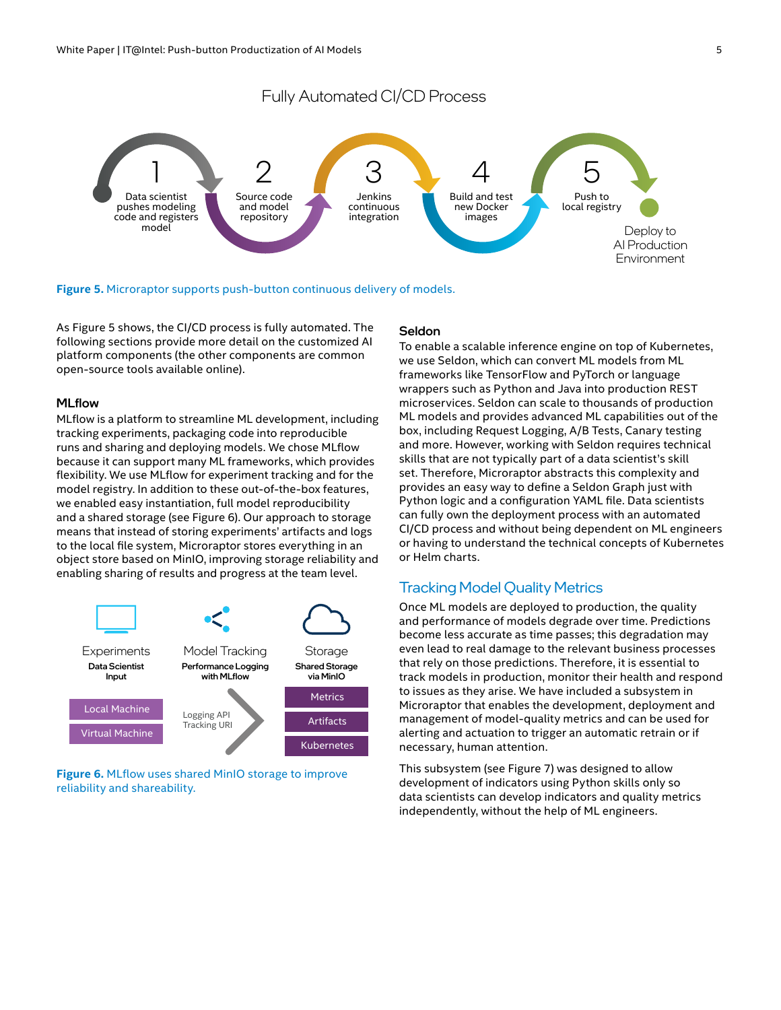<span id="page-4-0"></span>

**Figure 5.** Microraptor supports push-button continuous delivery of models.

As Figure 5 shows, the CI/CD process is fully automated. The following sections provide more detail on the customized AI platform components (the other components are common open-source tools available online).

#### MLflow

MLflow is a platform to streamline ML development, including tracking experiments, packaging code into reproducible runs and sharing and deploying models. We chose MLflow because it can support many ML frameworks, which provides flexibility. We use MLflow for experiment tracking and for the model registry. In addition to these out-of-the-box features, we enabled easy instantiation, full model reproducibility and a shared storage (see Figure 6). Our approach to storage means that instead of storing experiments' artifacts and logs to the local file system, Microraptor stores everything in an object store based on MinIO, improving storage reliability and enabling sharing of results and progress at the team level.



**Figure 6.** MLflow uses shared MinIO storage to improve reliability and shareability.

#### Seldon

To enable a scalable inference engine on top of Kubernetes, we use Seldon, which can convert ML models from ML frameworks like TensorFlow and PyTorch or language wrappers such as Python and Java into production REST microservices. Seldon can scale to thousands of production ML models and provides advanced ML capabilities out of the box, including Request Logging, A/B Tests, Canary testing and more. However, working with Seldon requires technical skills that are not typically part of a data scientist's skill set. Therefore, Microraptor abstracts this complexity and provides an easy way to define a Seldon Graph just with Python logic and a configuration YAML file. Data scientists can fully own the deployment process with an automated CI/CD process and without being dependent on ML engineers or having to understand the technical concepts of Kubernetes or Helm charts.

#### Tracking Model Quality Metrics

Once ML models are deployed to production, the quality and performance of models degrade over time. Predictions become less accurate as time passes; this degradation may even lead to real damage to the relevant business processes that rely on those predictions. Therefore, it is essential to track models in production, monitor their health and respond to issues as they arise. We have included a subsystem in Microraptor that enables the development, deployment and management of model-quality metrics and can be used for alerting and actuation to trigger an automatic retrain or if necessary, human attention.

This subsystem (see Figure 7) was designed to allow development of indicators using Python skills only so data scientists can develop indicators and quality metrics independently, without the help of ML engineers.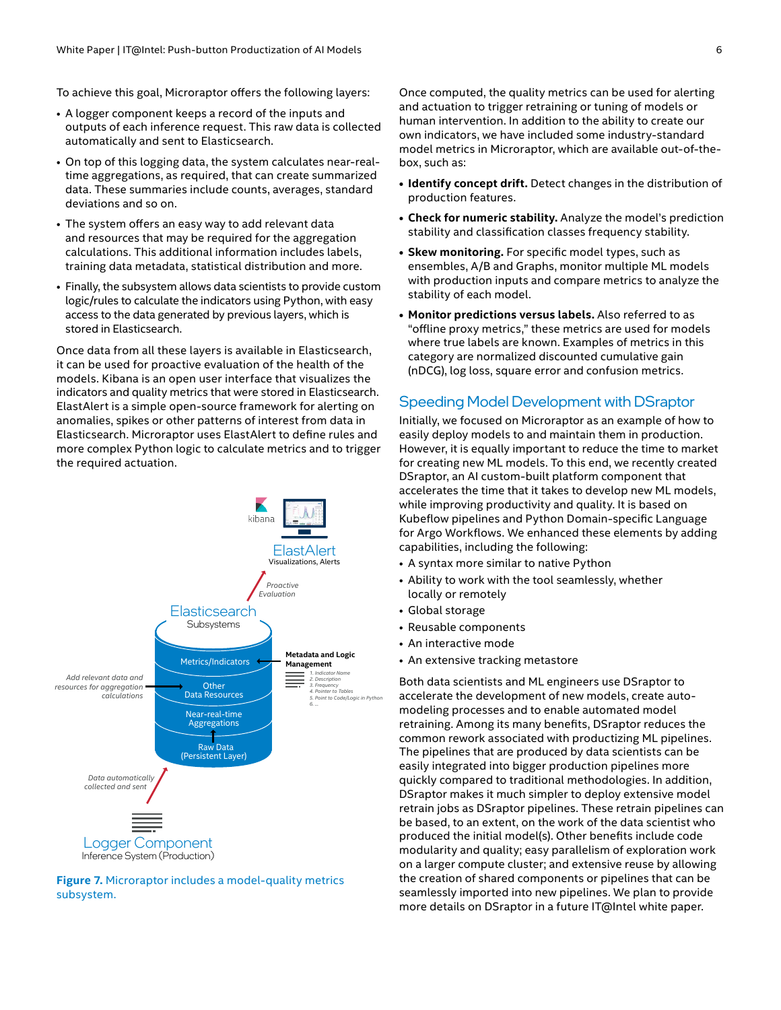<span id="page-5-0"></span>To achieve this goal, Microraptor offers the following layers:

- A logger component keeps a record of the inputs and outputs of each inference request. This raw data is collected automatically and sent to Elasticsearch.
- On top of this logging data, the system calculates near-realtime aggregations, as required, that can create summarized data. These summaries include counts, averages, standard deviations and so on.
- The system offers an easy way to add relevant data and resources that may be required for the aggregation calculations. This additional information includes labels, training data metadata, statistical distribution and more.
- Finally, the subsystem allows data scientists to provide custom logic/rules to calculate the indicators using Python, with easy access to the data generated by previous layers, which is stored in Elasticsearch.

Once data from all these layers is available in Elasticsearch, it can be used for proactive evaluation of the health of the models. Kibana is an open user interface that visualizes the indicators and quality metrics that were stored in Elasticsearch. ElastAlert is a simple open-source framework for alerting on anomalies, spikes or other patterns of interest from data in Elasticsearch. Microraptor uses ElastAlert to define rules and more complex Python logic to calculate metrics and to trigger the required actuation.



**Figure 7.** Microraptor includes a model-quality metrics subsystem.

Once computed, the quality metrics can be used for alerting and actuation to trigger retraining or tuning of models or human intervention. In addition to the ability to create our own indicators, we have included some industry-standard model metrics in Microraptor, which are available out-of-thebox, such as:

- **• Identify concept drift.** Detect changes in the distribution of production features.
- **• Check for numeric stability.** Analyze the model's prediction stability and classification classes frequency stability.
- **• Skew monitoring.** For specific model types, such as ensembles, A/B and Graphs, monitor multiple ML models with production inputs and compare metrics to analyze the stability of each model.
- **• Monitor predictions versus labels.** Also referred to as "offline proxy metrics," these metrics are used for models where true labels are known. Examples of metrics in this category are normalized discounted cumulative gain (nDCG), log loss, square error and confusion metrics.

#### Speeding Model Development with DSraptor

Initially, we focused on Microraptor as an example of how to easily deploy models to and maintain them in production. However, it is equally important to reduce the time to market for creating new ML models. To this end, we recently created DSraptor, an AI custom-built platform component that accelerates the time that it takes to develop new ML models, while improving productivity and quality. It is based on Kubeflow pipelines and Python Domain-specific Language for Argo Workflows. We enhanced these elements by adding capabilities, including the following:

- A syntax more similar to native Python
- Ability to work with the tool seamlessly, whether locally or remotely
- Global storage
- Reusable components
- An interactive mode
- An extensive tracking metastore

Both data scientists and ML engineers use DSraptor to accelerate the development of new models, create automodeling processes and to enable automated model retraining. Among its many benefits, DSraptor reduces the common rework associated with productizing ML pipelines. The pipelines that are produced by data scientists can be easily integrated into bigger production pipelines more quickly compared to traditional methodologies. In addition, DSraptor makes it much simpler to deploy extensive model retrain jobs as DSraptor pipelines. These retrain pipelines can be based, to an extent, on the work of the data scientist who produced the initial model(s). Other benefits include code modularity and quality; easy parallelism of exploration work on a larger compute cluster; and extensive reuse by allowing the creation of shared components or pipelines that can be seamlessly imported into new pipelines. We plan to provide more details on DSraptor in a future IT@Intel white paper.